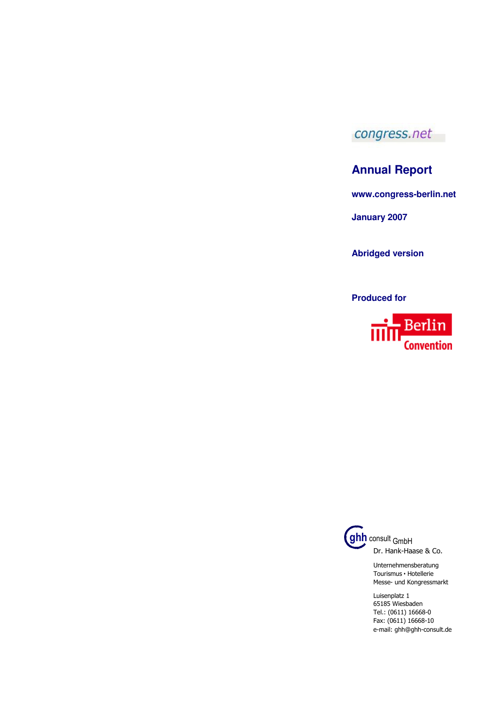

## **Annual Report**

**www.congress-berlin.net** 

**January 2007** 

**Abridged version**

**Produced for** 





Unternehmensberatung Tourismus • Hotellerie Messe- und Kongressmarkt

Luisenplatz 1 65185 Wiesbaden Tel.: (0611) 16668-0 Fax: (0611) 16668-10 e-mail: ghh@ghh-consult.de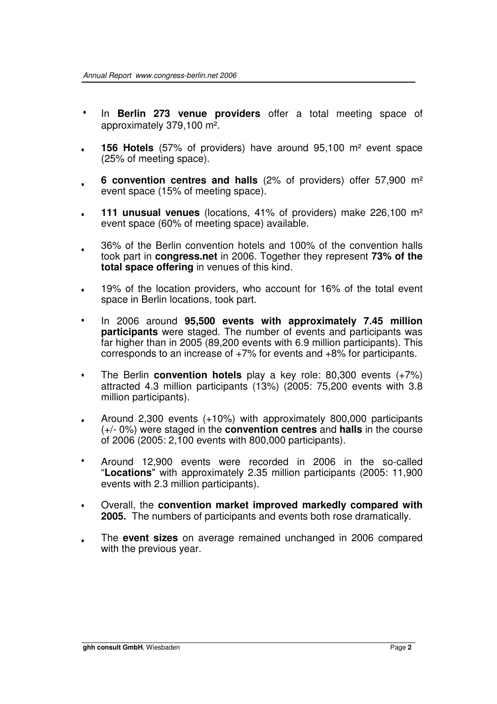- In **Berlin 273 venue providers** offer a total meeting space of approximately 379,100 m².
- **156 Hotels** (57% of providers) have around 95,100 m² event space (25% of meeting space). •
- **6 convention centres and halls** (2% of providers) offer 57,900 m² event space (15% of meeting space). •
- **111 unusual venues** (locations, 41% of providers) make 226,100 m² event space (60% of meeting space) available. •
- 36% of the Berlin convention hotels and 100% of the convention halls took part in **congress.net** in 2006. Together they represent **73% of the total space offering** in venues of this kind. •
- 19% of the location providers, who account for 16% of the total event space in Berlin locations, took part. •
- In 2006 around **95,500 events with approximately 7.45 million participants** were staged. The number of events and participants was far higher than in 2005 (89,200 events with 6.9 million participants). This corresponds to an increase of +7% for events and +8% for participants. •
- The Berlin **convention hotels** play a key role: 80,300 events (+7%) attracted 4.3 million participants (13%) (2005: 75,200 events with 3.8 million participants). •
- Around 2,300 events (+10%) with approximately 800,000 participants (+/- 0%) were staged in the **convention centres** and **halls** in the course of 2006 (2005: 2,100 events with 800,000 participants). •
- Around 12,900 events were recorded in 2006 in the so-called "**Locations**" with approximately 2.35 million participants (2005: 11,900 events with 2.3 million participants). •
- Overall, the **convention market improved markedly compared with 2005.** The numbers of participants and events both rose dramatically. •
- The **event sizes** on average remained unchanged in 2006 compared with the previous year. •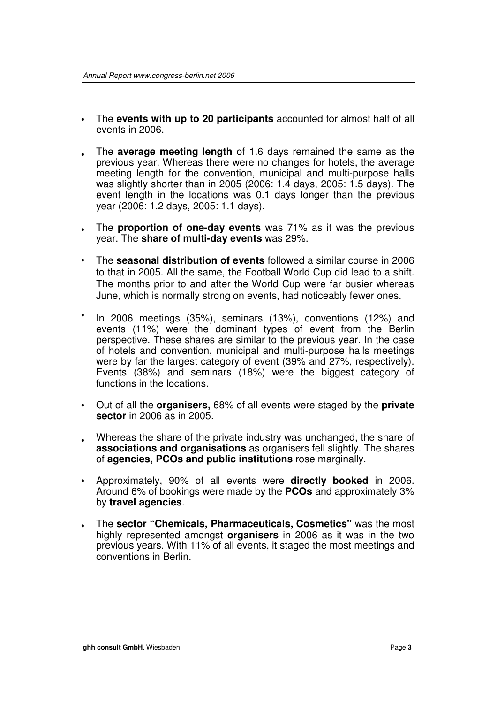- The **events with up to 20 participants** accounted for almost half of all events in 2006.
- The **average meeting length** of 1.6 days remained the same as the previous year. Whereas there were no changes for hotels, the average meeting length for the convention, municipal and multi-purpose halls was slightly shorter than in 2005 (2006: 1.4 days, 2005: 1.5 days). The event length in the locations was 0.1 days longer than the previous year (2006: 1.2 days, 2005: 1.1 days).
- The **proportion of one-day events** was 71% as it was the previous year. The **share of multi-day events** was 29%.
- The **seasonal distribution of events** followed a similar course in 2006 to that in 2005. All the same, the Football World Cup did lead to a shift. The months prior to and after the World Cup were far busier whereas June, which is normally strong on events, had noticeably fewer ones.
- In 2006 meetings (35%), seminars (13%), conventions (12%) and events (11%) were the dominant types of event from the Berlin perspective. These shares are similar to the previous year. In the case of hotels and convention, municipal and multi-purpose halls meetings were by far the largest category of event (39% and 27%, respectively). Events (38%) and seminars (18%) were the biggest category of functions in the locations.
- Out of all the **organisers,** 68% of all events were staged by the **private sector** in 2006 as in 2005.
- Whereas the share of the private industry was unchanged, the share of **associations and organisations** as organisers fell slightly. The shares of **agencies, PCOs and public institutions** rose marginally.
- Approximately, 90% of all events were **directly booked** in 2006. Around 6% of bookings were made by the **PCOs** and approximately 3% by **travel agencies**.
- The **sector "Chemicals, Pharmaceuticals, Cosmetics"** was the most highly represented amongst **organisers** in 2006 as it was in the two previous years. With 11% of all events, it staged the most meetings and conventions in Berlin.